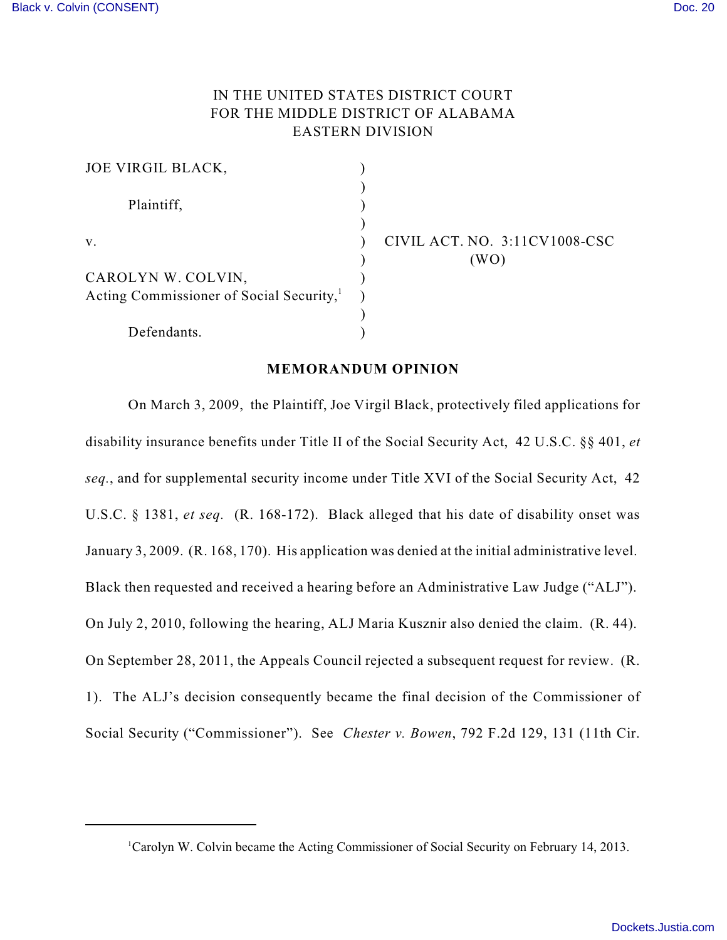# IN THE UNITED STATES DISTRICT COURT FOR THE MIDDLE DISTRICT OF ALABAMA EASTERN DIVISION

| JOE VIRGIL BLACK,                                    |         |
|------------------------------------------------------|---------|
| Plaintiff,                                           |         |
| $V_{-}$                                              | CIVIL A |
| CAROLYN W. COLVIN,                                   |         |
| Acting Commissioner of Social Security, <sup>1</sup> |         |
| Defendants.                                          |         |

**ACT. NO. 3:11CV1008-CSC**  $(WO)$ 

### **MEMORANDUM OPINION**

On March 3, 2009, the Plaintiff, Joe Virgil Black, protectively filed applications for disability insurance benefits under Title II of the Social Security Act, 42 U.S.C. §§ 401, *et seq.*, and for supplemental security income under Title XVI of the Social Security Act, 42 U.S.C. § 1381, *et seq.* (R. 168-172). Black alleged that his date of disability onset was January 3, 2009. (R. 168, 170). His application was denied at the initial administrative level. Black then requested and received a hearing before an Administrative Law Judge ("ALJ"). On July 2, 2010, following the hearing, ALJ Maria Kusznir also denied the claim. (R. 44). On September 28, 2011, the Appeals Council rejected a subsequent request for review. (R. 1). The ALJ's decision consequently became the final decision of the Commissioner of Social Security ("Commissioner"). See *Chester v. Bowen*, 792 F.2d 129, 131 (11th Cir.

<sup>&</sup>lt;sup>1</sup>Carolyn W. Colvin became the Acting Commissioner of Social Security on February 14, 2013.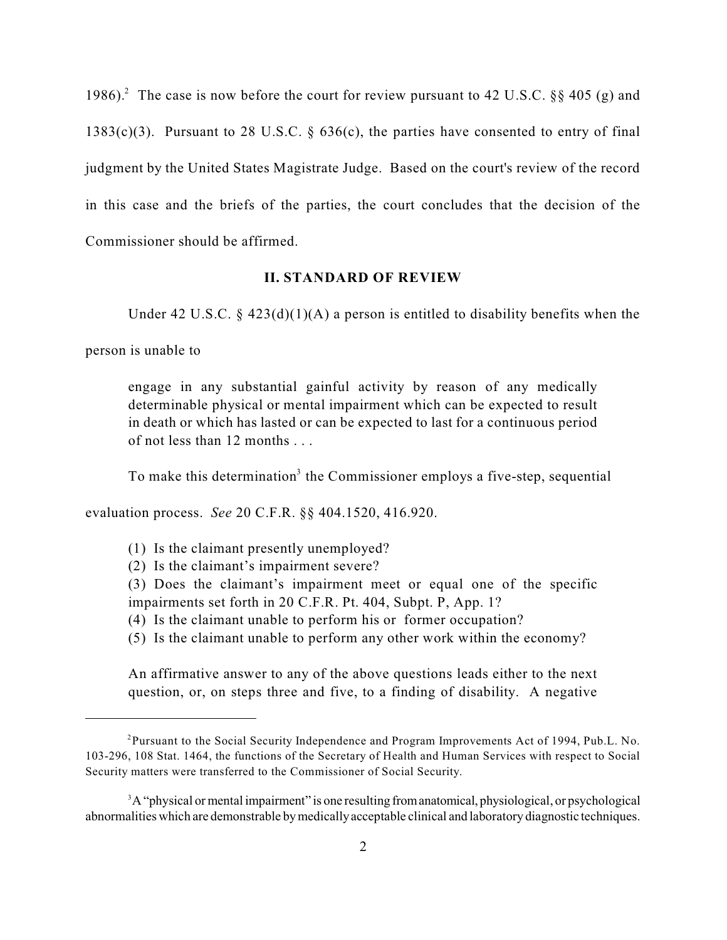1986).<sup>2</sup> The case is now before the court for review pursuant to 42 U.S.C. §§ 405 (g) and 1383(c)(3). Pursuant to 28 U.S.C.  $\S$  636(c), the parties have consented to entry of final judgment by the United States Magistrate Judge. Based on the court's review of the record in this case and the briefs of the parties, the court concludes that the decision of the Commissioner should be affirmed.

# **II. STANDARD OF REVIEW**

Under 42 U.S.C.  $\S$  423(d)(1)(A) a person is entitled to disability benefits when the

person is unable to

engage in any substantial gainful activity by reason of any medically determinable physical or mental impairment which can be expected to result in death or which has lasted or can be expected to last for a continuous period of not less than 12 months . . .

To make this determination<sup>3</sup> the Commissioner employs a five-step, sequential

evaluation process. *See* 20 C.F.R. §§ 404.1520, 416.920.

- (1) Is the claimant presently unemployed?
- (2) Is the claimant's impairment severe?

(3) Does the claimant's impairment meet or equal one of the specific impairments set forth in 20 C.F.R. Pt. 404, Subpt. P, App. 1?

- (4) Is the claimant unable to perform his or former occupation?
- (5) Is the claimant unable to perform any other work within the economy?

An affirmative answer to any of the above questions leads either to the next question, or, on steps three and five, to a finding of disability. A negative

<sup>&</sup>lt;sup>2</sup> Pursuant to the Social Security Independence and Program Improvements Act of 1994, Pub.L. No. 103-296, 108 Stat. 1464, the functions of the Secretary of Health and Human Services with respect to Social Security matters were transferred to the Commissioner of Social Security.

 ${}^{3}A$  "physical or mental impairment" is one resulting from anatomical, physiological, or psychological abnormalities which are demonstrable by medicallyacceptable clinical and laboratory diagnostic techniques.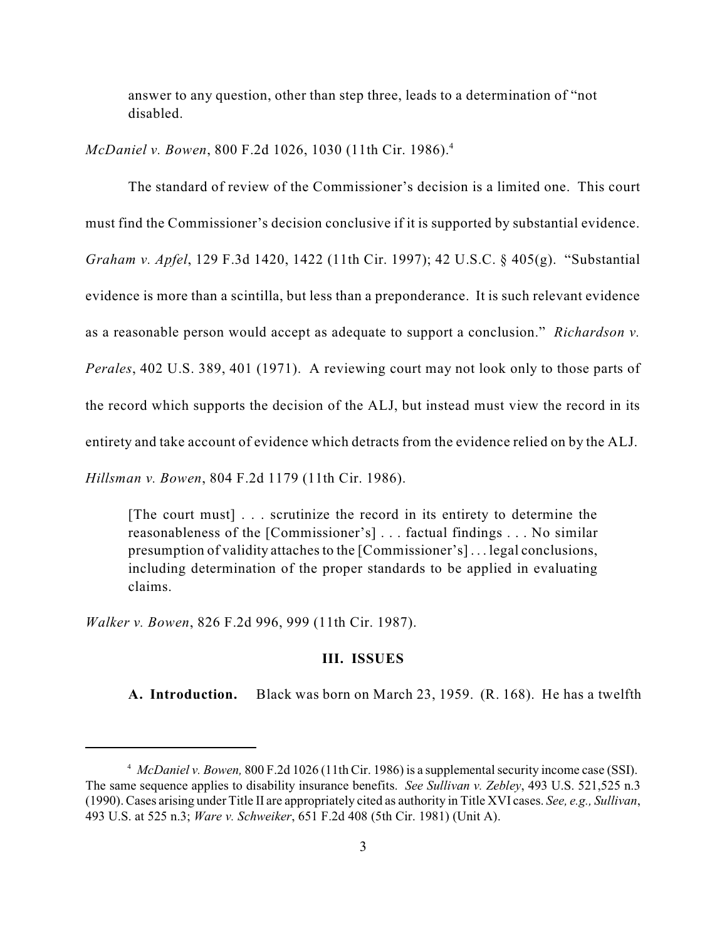answer to any question, other than step three, leads to a determination of "not disabled.

*McDaniel v. Bowen*, 800 F.2d 1026, 1030 (11th Cir. 1986). 4

The standard of review of the Commissioner's decision is a limited one. This court

must find the Commissioner's decision conclusive if it is supported by substantial evidence.

*Graham v. Apfel*, 129 F.3d 1420, 1422 (11th Cir. 1997); 42 U.S.C. § 405(g). "Substantial

evidence is more than a scintilla, but less than a preponderance. It is such relevant evidence

as a reasonable person would accept as adequate to support a conclusion." *Richardson v.*

*Perales*, 402 U.S. 389, 401 (1971). A reviewing court may not look only to those parts of

the record which supports the decision of the ALJ, but instead must view the record in its

entirety and take account of evidence which detracts from the evidence relied on by the ALJ.

*Hillsman v. Bowen*, 804 F.2d 1179 (11th Cir. 1986).

[The court must] . . . scrutinize the record in its entirety to determine the reasonableness of the [Commissioner's] . . . factual findings . . . No similar presumption of validity attachesto the [Commissioner's] . . . legal conclusions, including determination of the proper standards to be applied in evaluating claims.

*Walker v. Bowen*, 826 F.2d 996, 999 (11th Cir. 1987).

### **III. ISSUES**

**A. Introduction.** Black was born on March 23, 1959. (R. 168). He has a twelfth

<sup>&</sup>lt;sup>4</sup> McDaniel *v. Bowen*, 800 F.2d 1026 (11th Cir. 1986) is a supplemental security income case (SSI). The same sequence applies to disability insurance benefits. *See Sullivan v. Zebley*, 493 U.S. 521,525 n.3 (1990). Cases arising under Title II are appropriately cited as authority in Title XVI cases. *See, e.g., Sullivan*, 493 U.S. at 525 n.3; *Ware v. Schweiker*, 651 F.2d 408 (5th Cir. 1981) (Unit A).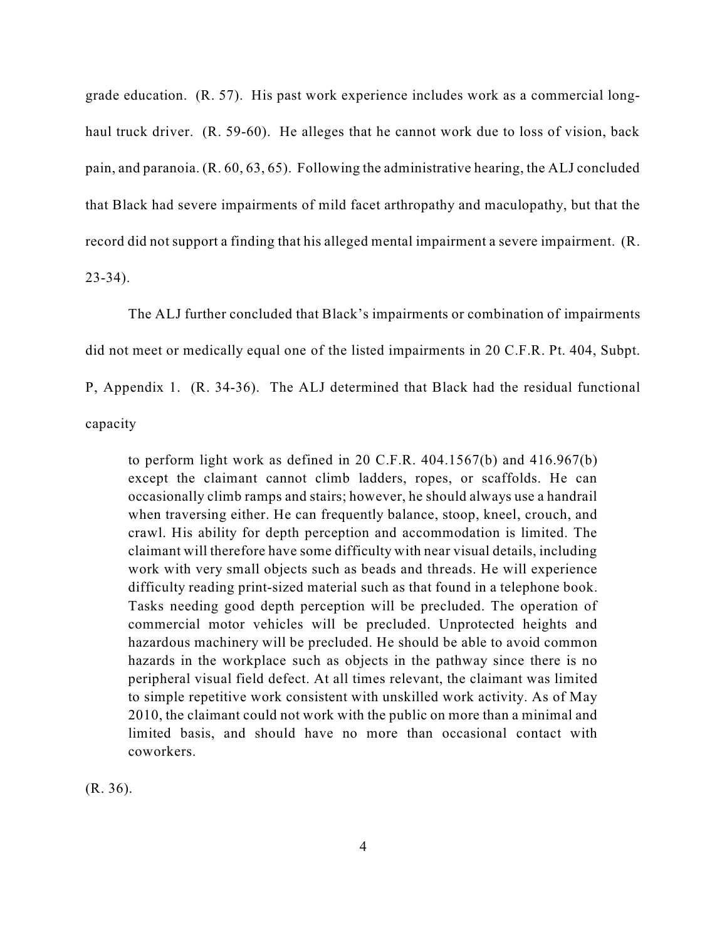grade education. (R. 57). His past work experience includes work as a commercial longhaul truck driver. (R. 59-60). He alleges that he cannot work due to loss of vision, back pain, and paranoia. (R. 60, 63, 65). Following the administrative hearing, the ALJ concluded that Black had severe impairments of mild facet arthropathy and maculopathy, but that the record did not support a finding that his alleged mental impairment a severe impairment. (R. 23-34).

The ALJ further concluded that Black's impairments or combination of impairments did not meet or medically equal one of the listed impairments in 20 C.F.R. Pt. 404, Subpt. P, Appendix 1. (R. 34-36). The ALJ determined that Black had the residual functional capacity

to perform light work as defined in 20 C.F.R. 404.1567(b) and 416.967(b) except the claimant cannot climb ladders, ropes, or scaffolds. He can occasionally climb ramps and stairs; however, he should always use a handrail when traversing either. He can frequently balance, stoop, kneel, crouch, and crawl. His ability for depth perception and accommodation is limited. The claimant will therefore have some difficulty with near visual details, including work with very small objects such as beads and threads. He will experience difficulty reading print-sized material such as that found in a telephone book. Tasks needing good depth perception will be precluded. The operation of commercial motor vehicles will be precluded. Unprotected heights and hazardous machinery will be precluded. He should be able to avoid common hazards in the workplace such as objects in the pathway since there is no peripheral visual field defect. At all times relevant, the claimant was limited to simple repetitive work consistent with unskilled work activity. As of May 2010, the claimant could not work with the public on more than a minimal and limited basis, and should have no more than occasional contact with coworkers.

(R. 36).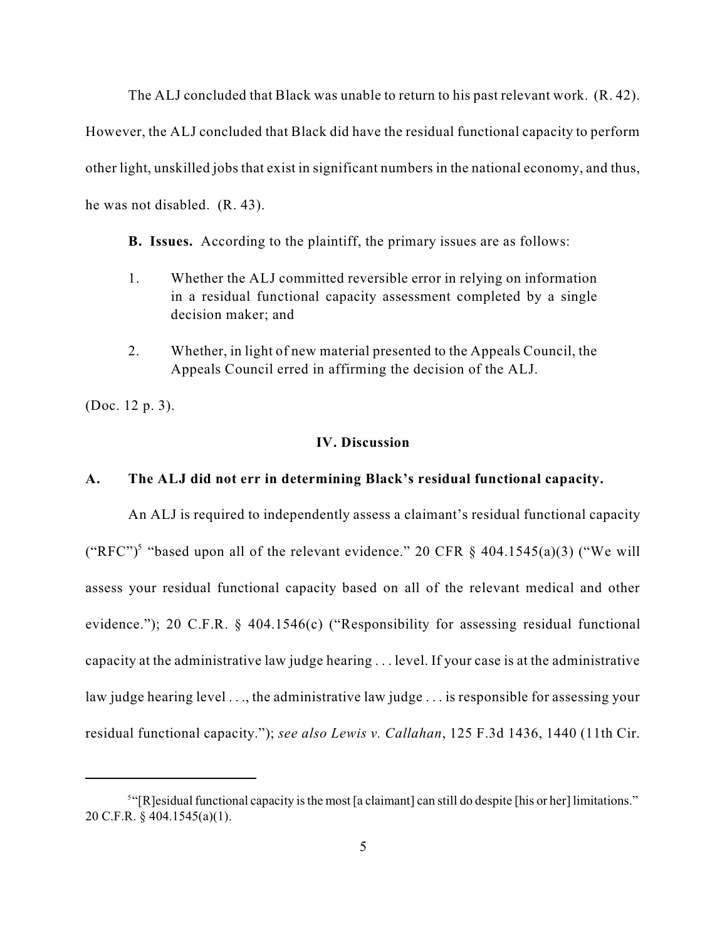The ALJ concluded that Black was unable to return to his past relevant work. (R. 42).

However, the ALJ concluded that Black did have the residual functional capacity to perform other light, unskilled jobs that exist in significant numbers in the national economy, and thus, he was not disabled. (R. 43).

**B. Issues.** According to the plaintiff, the primary issues are as follows:

- 1. Whether the ALJ committed reversible error in relying on information in a residual functional capacity assessment completed by a single decision maker; and
- 2. Whether, in light of new material presented to the Appeals Council, the Appeals Council erred in affirming the decision of the ALJ.

(Doc. 12 p. 3).

### **IV. Discussion**

## **A. The ALJ did not err in determining Black's residual functional capacity.**

An ALJ is required to independently assess a claimant's residual functional capacity ("RFC")<sup>5</sup> "based upon all of the relevant evidence." 20 CFR  $\S$  404.1545(a)(3) ("We will assess your residual functional capacity based on all of the relevant medical and other evidence."); 20 C.F.R. § 404.1546(c) ("Responsibility for assessing residual functional capacity at the administrative law judge hearing . . . level. If your case is at the administrative law judge hearing level ..., the administrative law judge ... is responsible for assessing your residual functional capacity."); *see also Lewis v. Callahan*, 125 F.3d 1436, 1440 (11th Cir.

<sup>&</sup>lt;sup>5</sup>"[R]esidual functional capacity is the most [a claimant] can still do despite [his or her] limitations." 20 C.F.R. § 404.1545(a)(1).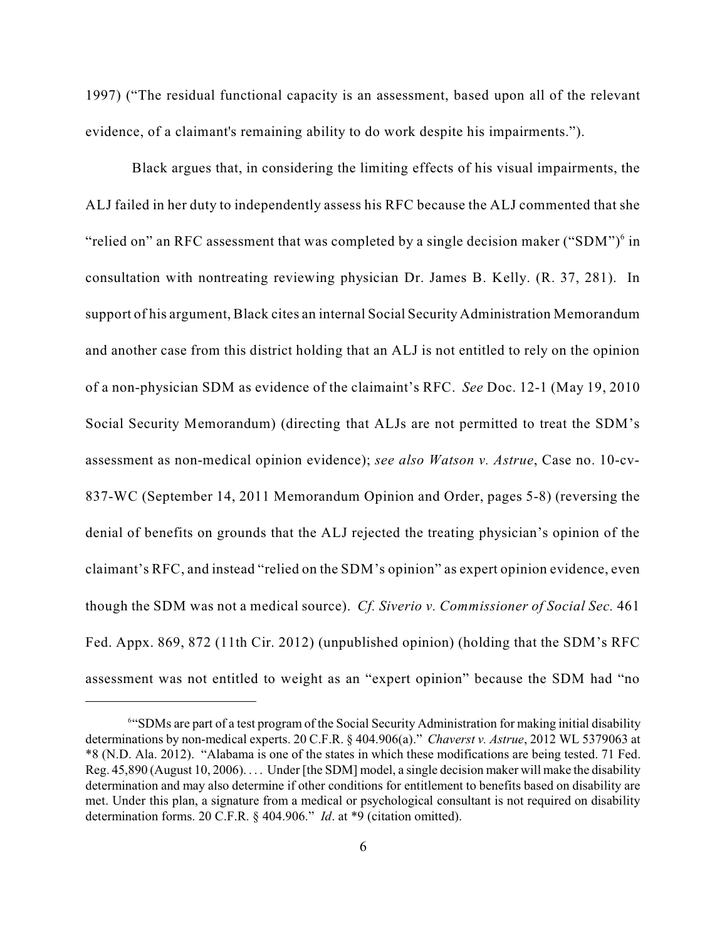1997) ("The residual functional capacity is an assessment, based upon all of the relevant evidence, of a claimant's remaining ability to do work despite his impairments.").

Black argues that, in considering the limiting effects of his visual impairments, the ALJ failed in her duty to independently assess his RFC because the ALJ commented that she "relied on" an RFC assessment that was completed by a single decision maker ("SDM") $6$  in consultation with nontreating reviewing physician Dr. James B. Kelly. (R. 37, 281). In support of his argument, Black cites an internal Social Security Administration Memorandum and another case from this district holding that an ALJ is not entitled to rely on the opinion of a non-physician SDM as evidence of the claimaint's RFC. *See* Doc. 12-1 (May 19, 2010 Social Security Memorandum) (directing that ALJs are not permitted to treat the SDM's assessment as non-medical opinion evidence); *see also Watson v. Astrue*, Case no. 10-cv-837-WC (September 14, 2011 Memorandum Opinion and Order, pages 5-8) (reversing the denial of benefits on grounds that the ALJ rejected the treating physician's opinion of the claimant's RFC, and instead "relied on the SDM's opinion" as expert opinion evidence, even though the SDM was not a medical source). *Cf. Siverio v. Commissioner of Social Sec.* 461 Fed. Appx. 869, 872 (11th Cir. 2012) (unpublished opinion) (holding that the SDM's RFC assessment was not entitled to weight as an "expert opinion" because the SDM had "no

<sup>&</sup>lt;sup>644</sup>SDMs are part of a test program of the Social Security Administration for making initial disability determinations by non-medical experts. 20 C.F.R. § 404.906(a)." *Chaverst v. Astrue*, 2012 WL 5379063 at \*8 (N.D. Ala. 2012). "Alabama is one of the states in which these modifications are being tested. 71 Fed. Reg. 45,890 (August 10, 2006). . . . Under [the SDM] model, a single decision maker will make the disability determination and may also determine if other conditions for entitlement to benefits based on disability are met. Under this plan, a signature from a medical or psychological consultant is not required on disability determination forms. 20 C.F.R. § 404.906." *Id*. at \*9 (citation omitted).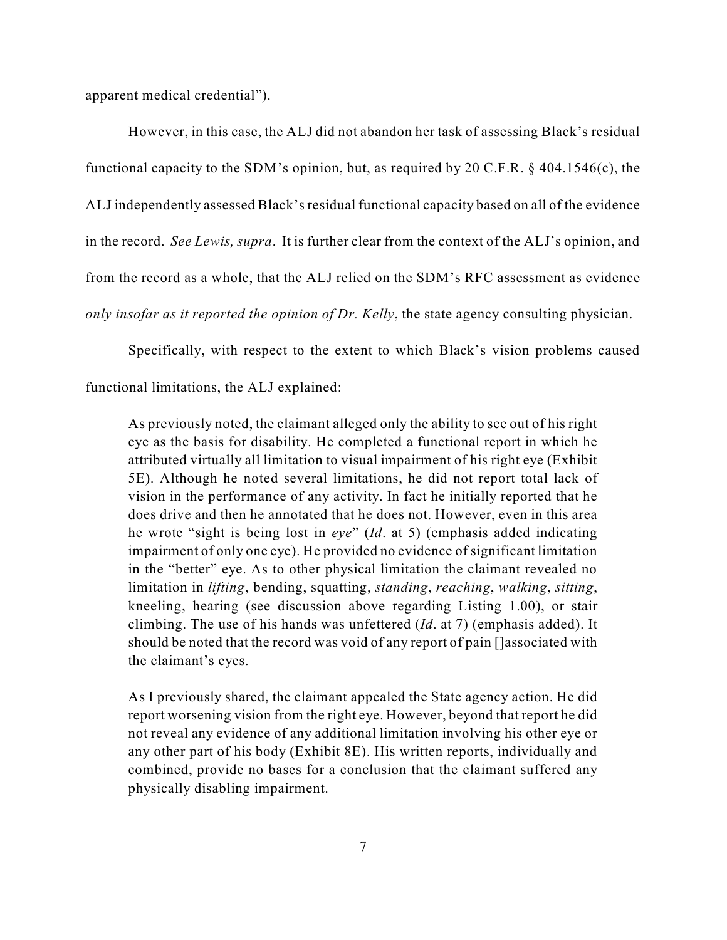apparent medical credential").

However, in this case, the ALJ did not abandon her task of assessing Black's residual functional capacity to the SDM's opinion, but, as required by 20 C.F.R. § 404.1546(c), the ALJ independently assessed Black's residual functional capacity based on all of the evidence in the record. *See Lewis, supra*. It is further clear from the context of the ALJ's opinion, and from the record as a whole, that the ALJ relied on the SDM's RFC assessment as evidence *only insofar as it reported the opinion of Dr. Kelly*, the state agency consulting physician.

Specifically, with respect to the extent to which Black's vision problems caused

functional limitations, the ALJ explained:

As previously noted, the claimant alleged only the ability to see out of his right eye as the basis for disability. He completed a functional report in which he attributed virtually all limitation to visual impairment of his right eye (Exhibit 5E). Although he noted several limitations, he did not report total lack of vision in the performance of any activity. In fact he initially reported that he does drive and then he annotated that he does not. However, even in this area he wrote "sight is being lost in *eye*" (*Id*. at 5) (emphasis added indicating impairment of only one eye). He provided no evidence of significant limitation in the "better" eye. As to other physical limitation the claimant revealed no limitation in *lifting*, bending, squatting, *standing*, *reaching*, *walking*, *sitting*, kneeling, hearing (see discussion above regarding Listing 1.00), or stair climbing. The use of his hands was unfettered (*Id*. at 7) (emphasis added). It should be noted that the record was void of any report of pain []associated with the claimant's eyes.

As I previously shared, the claimant appealed the State agency action. He did report worsening vision from the right eye. However, beyond that report he did not reveal any evidence of any additional limitation involving his other eye or any other part of his body (Exhibit 8E). His written reports, individually and combined, provide no bases for a conclusion that the claimant suffered any physically disabling impairment.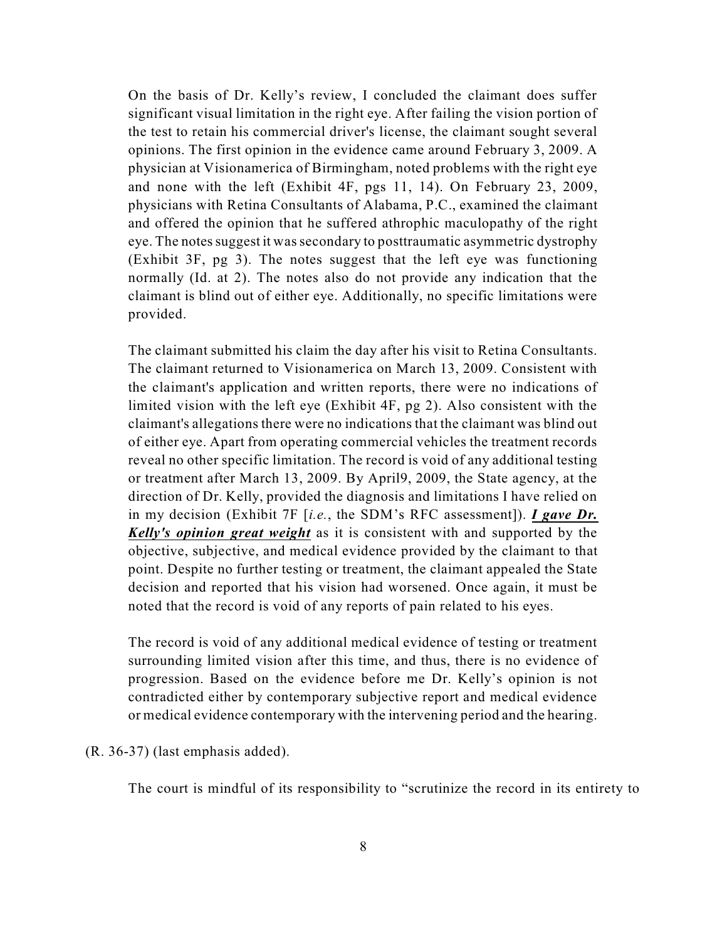On the basis of Dr. Kelly's review, I concluded the claimant does suffer significant visual limitation in the right eye. After failing the vision portion of the test to retain his commercial driver's license, the claimant sought several opinions. The first opinion in the evidence came around February 3, 2009. A physician at Visionamerica of Birmingham, noted problems with the right eye and none with the left (Exhibit 4F, pgs 11, 14). On February 23, 2009, physicians with Retina Consultants of Alabama, P.C., examined the claimant and offered the opinion that he suffered athrophic maculopathy of the right eye. The notes suggest it was secondary to posttraumatic asymmetric dystrophy (Exhibit 3F, pg 3). The notes suggest that the left eye was functioning normally (Id. at 2). The notes also do not provide any indication that the claimant is blind out of either eye. Additionally, no specific limitations were provided.

The claimant submitted his claim the day after his visit to Retina Consultants. The claimant returned to Visionamerica on March 13, 2009. Consistent with the claimant's application and written reports, there were no indications of limited vision with the left eye (Exhibit 4F, pg 2). Also consistent with the claimant's allegations there were no indications that the claimant was blind out of either eye. Apart from operating commercial vehicles the treatment records reveal no other specific limitation. The record is void of any additional testing or treatment after March 13, 2009. By April9, 2009, the State agency, at the direction of Dr. Kelly, provided the diagnosis and limitations I have relied on in my decision (Exhibit 7F [*i.e.*, the SDM's RFC assessment]). *I gave Dr. Kelly's opinion great weight* as it is consistent with and supported by the objective, subjective, and medical evidence provided by the claimant to that point. Despite no further testing or treatment, the claimant appealed the State decision and reported that his vision had worsened. Once again, it must be noted that the record is void of any reports of pain related to his eyes.

The record is void of any additional medical evidence of testing or treatment surrounding limited vision after this time, and thus, there is no evidence of progression. Based on the evidence before me Dr. Kelly's opinion is not contradicted either by contemporary subjective report and medical evidence or medical evidence contemporary with the intervening period and the hearing.

(R. 36-37) (last emphasis added).

The court is mindful of its responsibility to "scrutinize the record in its entirety to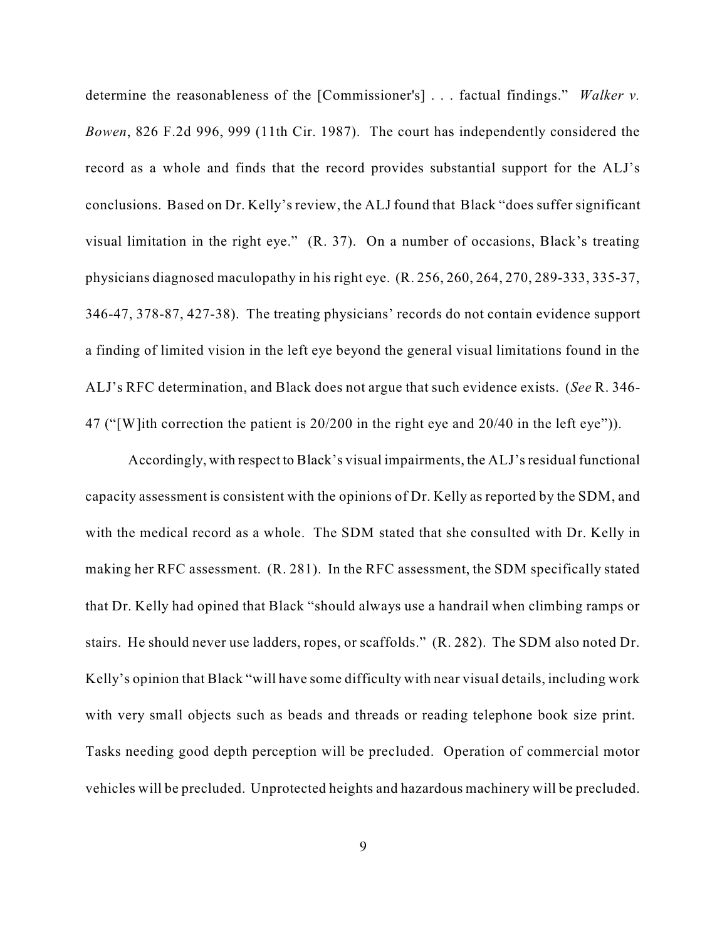determine the reasonableness of the [Commissioner's] . . . factual findings." *Walker v. Bowen*, 826 F.2d 996, 999 (11th Cir. 1987). The court has independently considered the record as a whole and finds that the record provides substantial support for the ALJ's conclusions. Based on Dr. Kelly's review, the ALJ found that Black "does suffer significant visual limitation in the right eye." (R. 37). On a number of occasions, Black's treating physicians diagnosed maculopathy in his right eye. (R. 256, 260, 264, 270, 289-333, 335-37, 346-47, 378-87, 427-38). The treating physicians' records do not contain evidence support a finding of limited vision in the left eye beyond the general visual limitations found in the ALJ's RFC determination, and Black does not argue that such evidence exists. (*See* R. 346- 47 ("[W]ith correction the patient is 20/200 in the right eye and 20/40 in the left eye")).

Accordingly, with respect to Black's visual impairments, the ALJ'sresidual functional capacity assessment is consistent with the opinions of Dr. Kelly as reported by the SDM, and with the medical record as a whole. The SDM stated that she consulted with Dr. Kelly in making her RFC assessment. (R. 281). In the RFC assessment, the SDM specifically stated that Dr. Kelly had opined that Black "should always use a handrail when climbing ramps or stairs. He should never use ladders, ropes, or scaffolds." (R. 282). The SDM also noted Dr. Kelly's opinion that Black "will have some difficulty with near visual details, including work with very small objects such as beads and threads or reading telephone book size print. Tasks needing good depth perception will be precluded. Operation of commercial motor vehicles will be precluded. Unprotected heights and hazardous machinery will be precluded.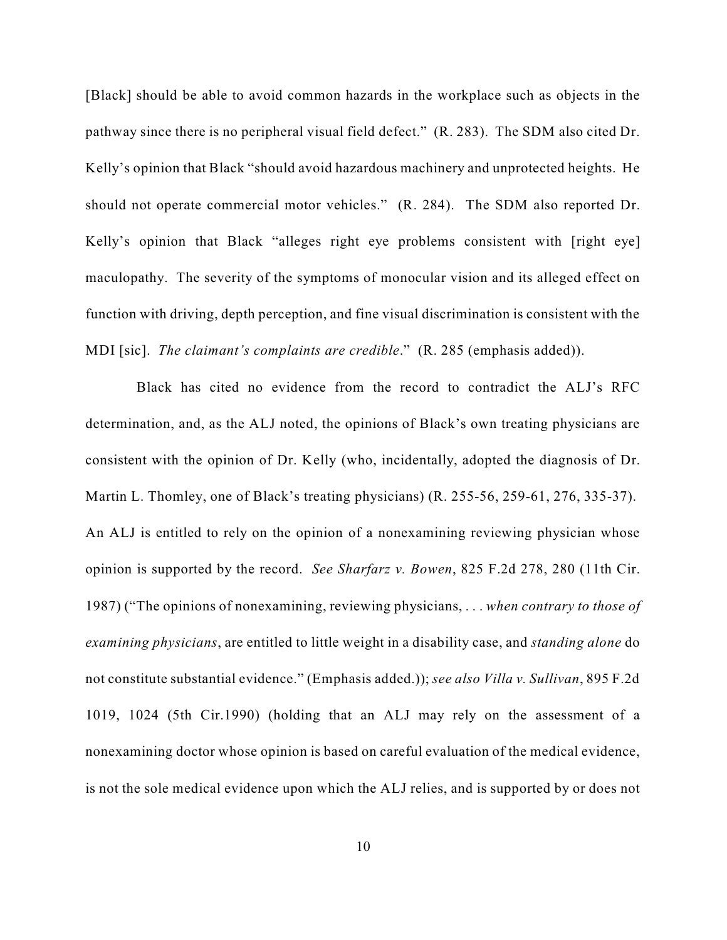[Black] should be able to avoid common hazards in the workplace such as objects in the pathway since there is no peripheral visual field defect." (R. 283). The SDM also cited Dr. Kelly's opinion that Black "should avoid hazardous machinery and unprotected heights. He should not operate commercial motor vehicles." (R. 284). The SDM also reported Dr. Kelly's opinion that Black "alleges right eye problems consistent with [right eye] maculopathy. The severity of the symptoms of monocular vision and its alleged effect on function with driving, depth perception, and fine visual discrimination is consistent with the MDI [sic]. *The claimant's complaints are credible*." (R. 285 (emphasis added)).

Black has cited no evidence from the record to contradict the ALJ's RFC determination, and, as the ALJ noted, the opinions of Black's own treating physicians are consistent with the opinion of Dr. Kelly (who, incidentally, adopted the diagnosis of Dr. Martin L. Thomley, one of Black's treating physicians) (R. 255-56, 259-61, 276, 335-37). An ALJ is entitled to rely on the opinion of a nonexamining reviewing physician whose opinion is supported by the record. *See Sharfarz v. Bowen*, 825 F.2d 278, 280 (11th Cir. 1987) ("The opinions of nonexamining, reviewing physicians, . . . *when contrary to those of examining physicians*, are entitled to little weight in a disability case, and *standing alone* do not constitute substantial evidence." (Emphasis added.)); *see also Villa v. Sullivan*, 895 F.2d 1019, 1024 (5th Cir.1990) (holding that an ALJ may rely on the assessment of a nonexamining doctor whose opinion is based on careful evaluation of the medical evidence, is not the sole medical evidence upon which the ALJ relies, and is supported by or does not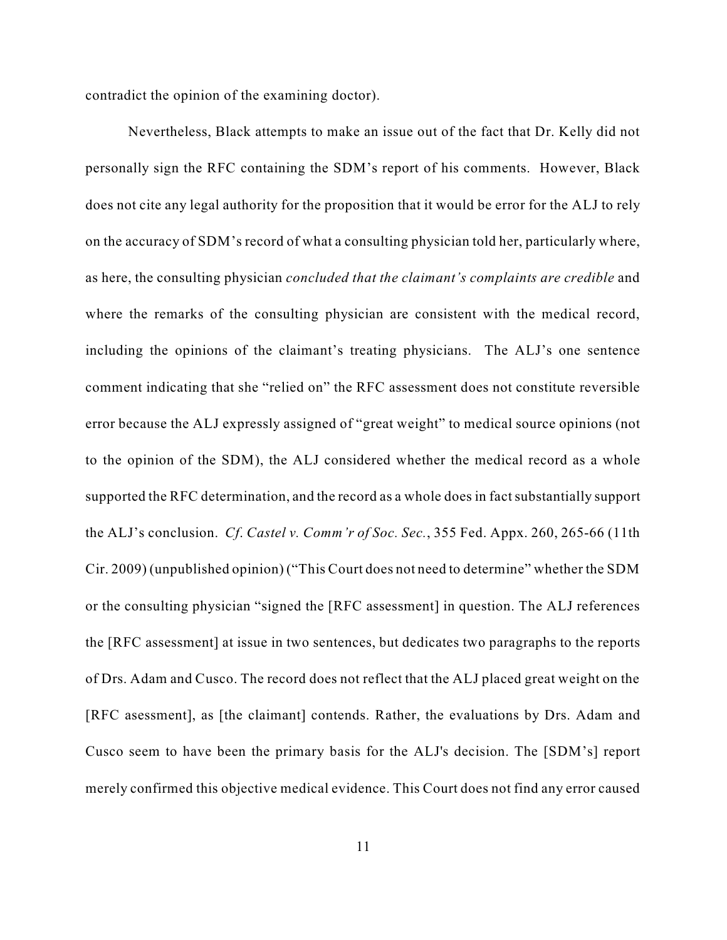contradict the opinion of the examining doctor).

Nevertheless, Black attempts to make an issue out of the fact that Dr. Kelly did not personally sign the RFC containing the SDM's report of his comments. However, Black does not cite any legal authority for the proposition that it would be error for the ALJ to rely on the accuracy of SDM's record of what a consulting physician told her, particularly where, as here, the consulting physician *concluded that the claimant's complaints are credible* and where the remarks of the consulting physician are consistent with the medical record, including the opinions of the claimant's treating physicians. The ALJ's one sentence comment indicating that she "relied on" the RFC assessment does not constitute reversible error because the ALJ expressly assigned of "great weight" to medical source opinions (not to the opinion of the SDM), the ALJ considered whether the medical record as a whole supported the RFC determination, and the record as a whole does in fact substantially support the ALJ's conclusion. *Cf*. *Castel v. Comm'r of Soc. Sec.*, 355 Fed. Appx. 260, 265-66 (11th Cir. 2009) (unpublished opinion) ("This Court does not need to determine" whether the SDM or the consulting physician "signed the [RFC assessment] in question. The ALJ references the [RFC assessment] at issue in two sentences, but dedicates two paragraphs to the reports of Drs. Adam and Cusco. The record does not reflect that the ALJ placed great weight on the [RFC asessment], as [the claimant] contends. Rather, the evaluations by Drs. Adam and Cusco seem to have been the primary basis for the ALJ's decision. The [SDM's] report merely confirmed this objective medical evidence. This Court does not find any error caused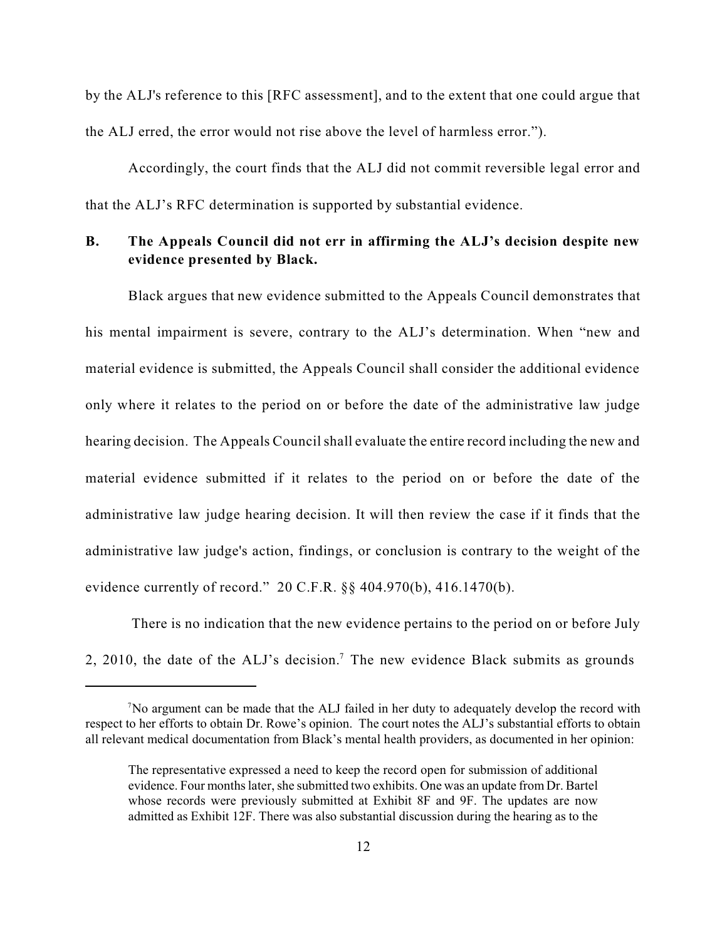by the ALJ's reference to this [RFC assessment], and to the extent that one could argue that the ALJ erred, the error would not rise above the level of harmless error.").

Accordingly, the court finds that the ALJ did not commit reversible legal error and that the ALJ's RFC determination is supported by substantial evidence.

# **B. The Appeals Council did not err in affirming the ALJ's decision despite new evidence presented by Black.**

Black argues that new evidence submitted to the Appeals Council demonstrates that his mental impairment is severe, contrary to the ALJ's determination. When "new and material evidence is submitted, the Appeals Council shall consider the additional evidence only where it relates to the period on or before the date of the administrative law judge hearing decision. The Appeals Council shall evaluate the entire record including the new and material evidence submitted if it relates to the period on or before the date of the administrative law judge hearing decision. It will then review the case if it finds that the administrative law judge's action, findings, or conclusion is contrary to the weight of the evidence currently of record." 20 C.F.R. §§ 404.970(b), 416.1470(b).

 There is no indication that the new evidence pertains to the period on or before July 2, 2010, the date of the ALJ's decision.<sup>7</sup> The new evidence Black submits as grounds

<sup>&</sup>lt;sup>7</sup>No argument can be made that the ALJ failed in her duty to adequately develop the record with respect to her efforts to obtain Dr. Rowe's opinion. The court notes the ALJ's substantial efforts to obtain all relevant medical documentation from Black's mental health providers, as documented in her opinion:

The representative expressed a need to keep the record open for submission of additional evidence. Four months later, she submitted two exhibits. One was an update from Dr. Bartel whose records were previously submitted at Exhibit 8F and 9F. The updates are now admitted as Exhibit 12F. There was also substantial discussion during the hearing as to the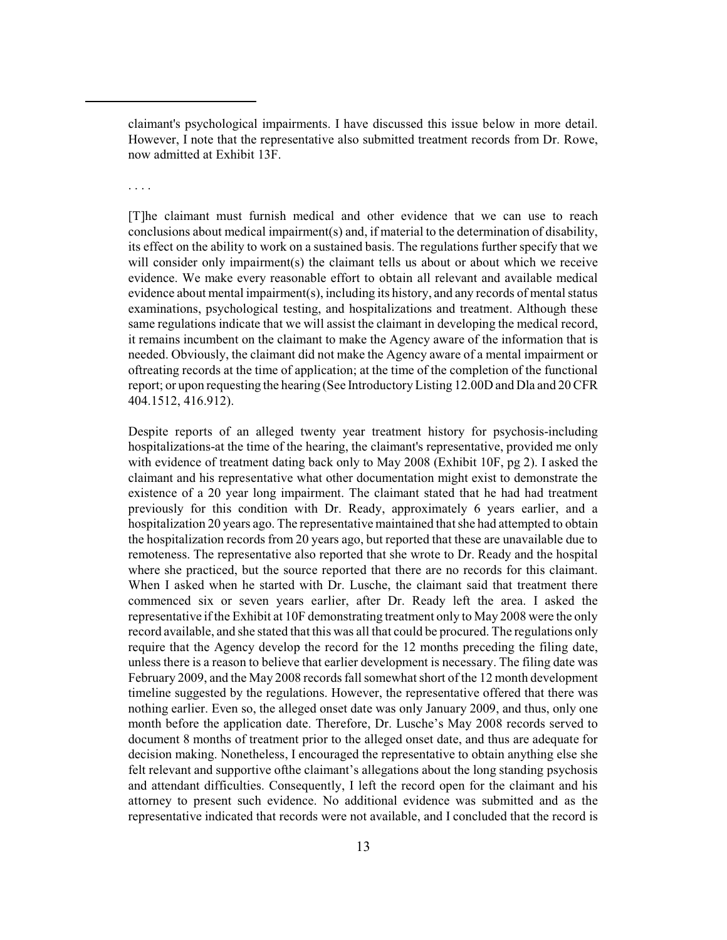claimant's psychological impairments. I have discussed this issue below in more detail. However, I note that the representative also submitted treatment records from Dr. Rowe, now admitted at Exhibit 13F.

. . . .

[T]he claimant must furnish medical and other evidence that we can use to reach conclusions about medical impairment(s) and, if material to the determination of disability, its effect on the ability to work on a sustained basis. The regulations further specify that we will consider only impairment(s) the claimant tells us about or about which we receive evidence. We make every reasonable effort to obtain all relevant and available medical evidence about mental impairment $(s)$ , including its history, and any records of mental status examinations, psychological testing, and hospitalizations and treatment. Although these same regulations indicate that we will assist the claimant in developing the medical record, it remains incumbent on the claimant to make the Agency aware of the information that is needed. Obviously, the claimant did not make the Agency aware of a mental impairment or oftreating records at the time of application; at the time of the completion of the functional report; or upon requesting the hearing (See Introductory Listing 12.00D and Dla and 20 CFR 404.1512, 416.912).

Despite reports of an alleged twenty year treatment history for psychosis-including hospitalizations-at the time of the hearing, the claimant's representative, provided me only with evidence of treatment dating back only to May 2008 (Exhibit 10F, pg 2). I asked the claimant and his representative what other documentation might exist to demonstrate the existence of a 20 year long impairment. The claimant stated that he had had treatment previously for this condition with Dr. Ready, approximately 6 years earlier, and a hospitalization 20 years ago. The representative maintained that she had attempted to obtain the hospitalization records from 20 years ago, but reported that these are unavailable due to remoteness. The representative also reported that she wrote to Dr. Ready and the hospital where she practiced, but the source reported that there are no records for this claimant. When I asked when he started with Dr. Lusche, the claimant said that treatment there commenced six or seven years earlier, after Dr. Ready left the area. I asked the representative if the Exhibit at 10F demonstrating treatment only to May 2008 were the only record available, and she stated that this was all that could be procured. The regulations only require that the Agency develop the record for the 12 months preceding the filing date, unless there is a reason to believe that earlier development is necessary. The filing date was February 2009, and the May 2008 records fall somewhat short of the 12 month development timeline suggested by the regulations. However, the representative offered that there was nothing earlier. Even so, the alleged onset date was only January 2009, and thus, only one month before the application date. Therefore, Dr. Lusche's May 2008 records served to document 8 months of treatment prior to the alleged onset date, and thus are adequate for decision making. Nonetheless, I encouraged the representative to obtain anything else she felt relevant and supportive ofthe claimant's allegations about the long standing psychosis and attendant difficulties. Consequently, I left the record open for the claimant and his attorney to present such evidence. No additional evidence was submitted and as the representative indicated that records were not available, and I concluded that the record is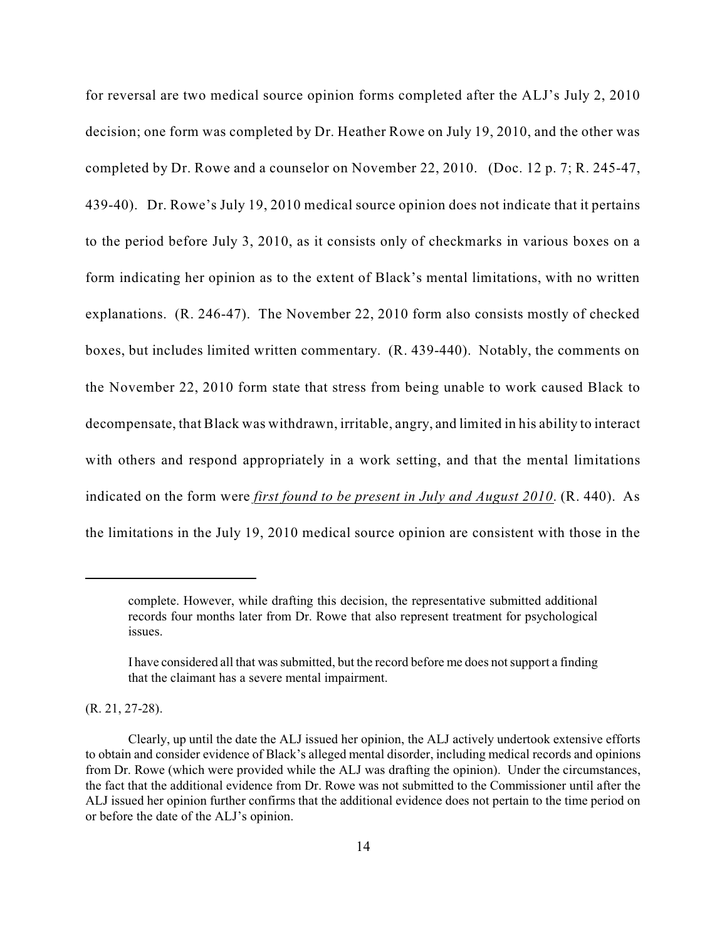for reversal are two medical source opinion forms completed after the ALJ's July 2, 2010 decision; one form was completed by Dr. Heather Rowe on July 19, 2010, and the other was completed by Dr. Rowe and a counselor on November 22, 2010. (Doc. 12 p. 7; R. 245-47, 439-40). Dr. Rowe's July 19, 2010 medical source opinion does not indicate that it pertains to the period before July 3, 2010, as it consists only of checkmarks in various boxes on a form indicating her opinion as to the extent of Black's mental limitations, with no written explanations. (R. 246-47). The November 22, 2010 form also consists mostly of checked boxes, but includes limited written commentary. (R. 439-440). Notably, the comments on the November 22, 2010 form state that stress from being unable to work caused Black to decompensate, that Black was withdrawn, irritable, angry, and limited in his ability to interact with others and respond appropriately in a work setting, and that the mental limitations indicated on the form were *first found to be present in July and August 2010*. (R. 440). As the limitations in the July 19, 2010 medical source opinion are consistent with those in the

(R. 21, 27-28).

complete. However, while drafting this decision, the representative submitted additional records four months later from Dr. Rowe that also represent treatment for psychological issues.

I have considered all that was submitted, but the record before me does notsupport a finding that the claimant has a severe mental impairment.

Clearly, up until the date the ALJ issued her opinion, the ALJ actively undertook extensive efforts to obtain and consider evidence of Black's alleged mental disorder, including medical records and opinions from Dr. Rowe (which were provided while the ALJ was drafting the opinion). Under the circumstances, the fact that the additional evidence from Dr. Rowe was not submitted to the Commissioner until after the ALJ issued her opinion further confirms that the additional evidence does not pertain to the time period on or before the date of the ALJ's opinion.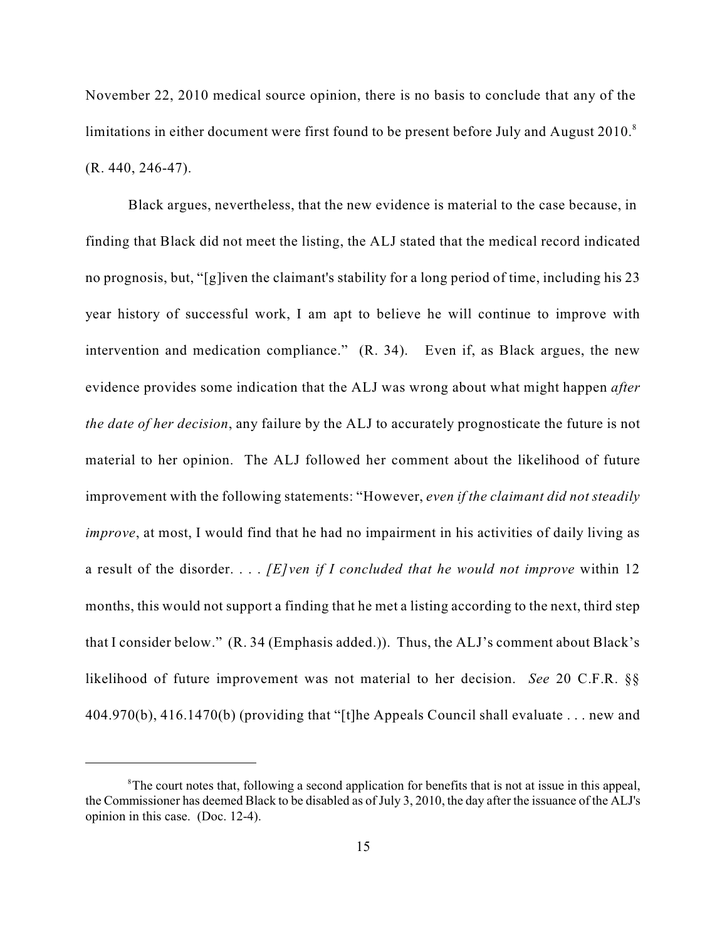November 22, 2010 medical source opinion, there is no basis to conclude that any of the limitations in either document were first found to be present before July and August 2010.<sup>8</sup> (R. 440, 246-47).

Black argues, nevertheless, that the new evidence is material to the case because, in finding that Black did not meet the listing, the ALJ stated that the medical record indicated no prognosis, but, "[g]iven the claimant's stability for a long period of time, including his 23 year history of successful work, I am apt to believe he will continue to improve with intervention and medication compliance." (R. 34). Even if, as Black argues, the new evidence provides some indication that the ALJ was wrong about what might happen *after the date of her decision*, any failure by the ALJ to accurately prognosticate the future is not material to her opinion. The ALJ followed her comment about the likelihood of future improvement with the following statements: "However, *even if the claimant did not steadily improve*, at most, I would find that he had no impairment in his activities of daily living as a result of the disorder. . . . *[E]ven if I concluded that he would not improve* within 12 months, this would not support a finding that he met a listing according to the next, third step that I consider below." (R. 34 (Emphasis added.)). Thus, the ALJ's comment about Black's likelihood of future improvement was not material to her decision. *See* 20 C.F.R. §§ 404.970(b), 416.1470(b) (providing that "[t]he Appeals Council shall evaluate . . . new and

<sup>&</sup>lt;sup>8</sup>The court notes that, following a second application for benefits that is not at issue in this appeal, the Commissioner has deemed Black to be disabled as of July 3, 2010, the day after the issuance of the ALJ's opinion in this case. (Doc. 12-4).